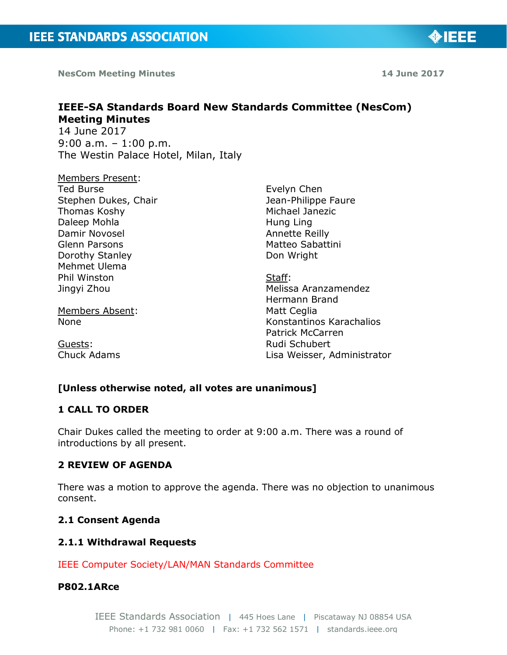**NesCom Meeting Minutes 14 June 2017**

◈IEEE

# **IEEE-SA Standards Board New Standards Committee (NesCom) Meeting Minutes**  14 June 2017

9:00 a.m. – 1:00 p.m. The Westin Palace Hotel, Milan, Italy

Members Present: Ted Burse Stephen Dukes, Chair Thomas Koshy Daleep Mohla Damir Novosel Glenn Parsons Dorothy Stanley Mehmet Ulema Phil Winston Jingyi Zhou

Members Absent: None

Guests: Chuck Adams Evelyn Chen Jean-Philippe Faure Michael Janezic Hung Ling Annette Reilly Matteo Sabattini Don Wright

Staff: Melissa Aranzamendez Hermann Brand Matt Ceglia Konstantinos Karachalios Patrick McCarren Rudi Schubert Lisa Weisser, Administrator

# **[Unless otherwise noted, all votes are unanimous]**

## **1 CALL TO ORDER**

Chair Dukes called the meeting to order at 9:00 a.m. There was a round of introductions by all present.

## **2 REVIEW OF AGENDA**

There was a motion to approve the agenda. There was no objection to unanimous consent.

## **2.1 Consent Agenda**

## **2.1.1 Withdrawal Requests**

IEEE Computer Society/LAN/MAN Standards Committee

## **P802.1ARce**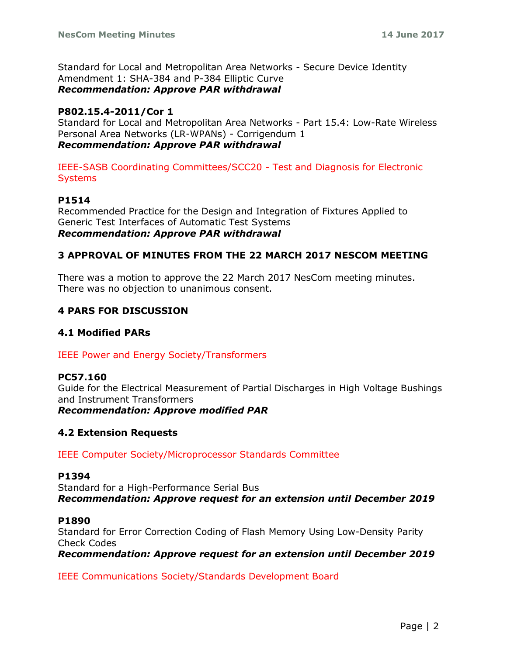Standard for Local and Metropolitan Area Networks - Secure Device Identity Amendment 1: SHA-384 and P-384 Elliptic Curve *Recommendation: Approve PAR withdrawal*

## **P802.15.4-2011/Cor 1**

Standard for Local and Metropolitan Area Networks - Part 15.4: Low-Rate Wireless Personal Area Networks (LR-WPANs) - Corrigendum 1 *Recommendation: Approve PAR withdrawal*

IEEE-SASB Coordinating Committees/SCC20 - Test and Diagnosis for Electronic **Systems** 

## **P1514**

Recommended Practice for the Design and Integration of Fixtures Applied to Generic Test Interfaces of Automatic Test Systems *Recommendation: Approve PAR withdrawal*

## **3 APPROVAL OF MINUTES FROM THE 22 MARCH 2017 NESCOM MEETING**

There was a motion to approve the 22 March 2017 NesCom meeting minutes. There was no objection to unanimous consent.

## **4 PARS FOR DISCUSSION**

## **4.1 Modified PARs**

IEEE Power and Energy Society/Transformers

## **PC57.160**

Guide for the Electrical Measurement of Partial Discharges in High Voltage Bushings and Instrument Transformers *Recommendation: Approve modified PAR*

## **4.2 Extension Requests**

IEEE Computer Society/Microprocessor Standards Committee

### **P1394**

Standard for a High-Performance Serial Bus *Recommendation: Approve request for an extension until December 2019*

### **P1890**

Standard for Error Correction Coding of Flash Memory Using Low-Density Parity Check Codes

*Recommendation: Approve request for an extension until December 2019*

IEEE Communications Society/Standards Development Board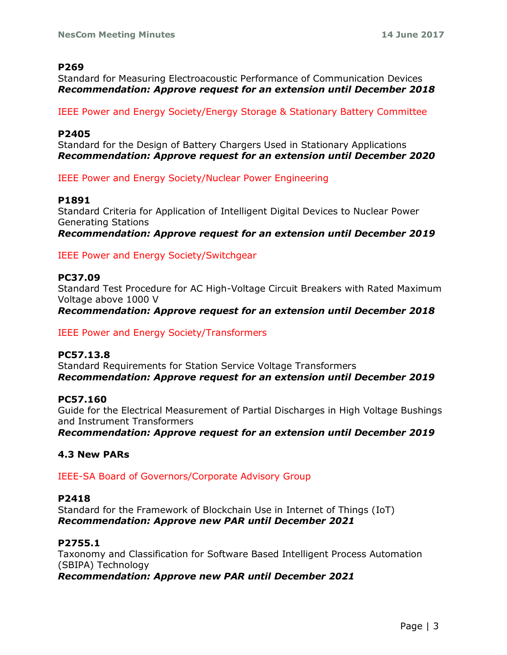### **P269**

Standard for Measuring Electroacoustic Performance of Communication Devices *Recommendation: Approve request for an extension until December 2018*

IEEE Power and Energy Society/Energy Storage & Stationary Battery Committee

### **P2405**

Standard for the Design of Battery Chargers Used in Stationary Applications *Recommendation: Approve request for an extension until December 2020*

IEEE Power and Energy Society/Nuclear Power Engineering

### **P1891**

Standard Criteria for Application of Intelligent Digital Devices to Nuclear Power Generating Stations *Recommendation: Approve request for an extension until December 2019*

IEEE Power and Energy Society/Switchgear

### **PC37.09**

Standard Test Procedure for AC High-Voltage Circuit Breakers with Rated Maximum Voltage above 1000 V

*Recommendation: Approve request for an extension until December 2018*

IEEE Power and Energy Society/Transformers

### **PC57.13.8**

Standard Requirements for Station Service Voltage Transformers *Recommendation: Approve request for an extension until December 2019*

### **PC57.160**

Guide for the Electrical Measurement of Partial Discharges in High Voltage Bushings and Instrument Transformers

*Recommendation: Approve request for an extension until December 2019*

### **4.3 New PARs**

IEEE-SA Board of Governors/Corporate Advisory Group

### **P2418**

Standard for the Framework of Blockchain Use in Internet of Things (IoT) *Recommendation: Approve new PAR until December 2021*

### **P2755.1**

Taxonomy and Classification for Software Based Intelligent Process Automation (SBIPA) Technology *Recommendation: Approve new PAR until December 2021*

Page | 3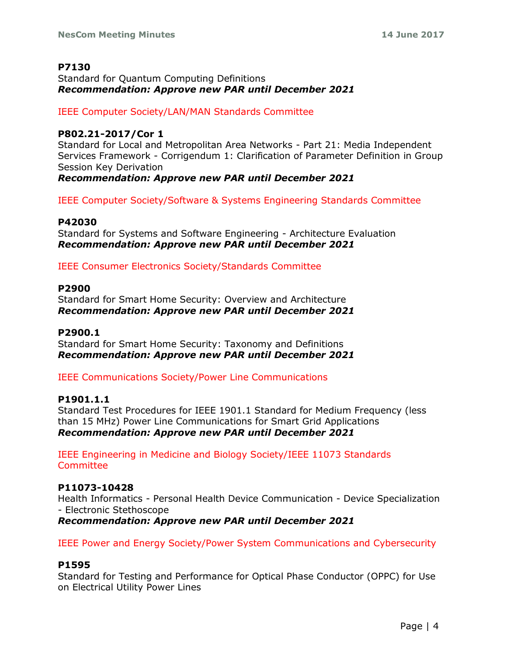## **P7130**

Standard for Quantum Computing Definitions *Recommendation: Approve new PAR until December 2021*

IEEE Computer Society/LAN/MAN Standards Committee

## **P802.21-2017/Cor 1**

Standard for Local and Metropolitan Area Networks - Part 21: Media Independent Services Framework - Corrigendum 1: Clarification of Parameter Definition in Group Session Key Derivation

*Recommendation: Approve new PAR until December 2021*

IEEE Computer Society/Software & Systems Engineering Standards Committee

## **P42030**

Standard for Systems and Software Engineering - Architecture Evaluation *Recommendation: Approve new PAR until December 2021*

IEEE Consumer Electronics Society/Standards Committee

## **P2900**

Standard for Smart Home Security: Overview and Architecture *Recommendation: Approve new PAR until December 2021*

### **P2900.1**

Standard for Smart Home Security: Taxonomy and Definitions *Recommendation: Approve new PAR until December 2021*

IEEE Communications Society/Power Line Communications

### **P1901.1.1**

Standard Test Procedures for IEEE 1901.1 Standard for Medium Frequency (less than 15 MHz) Power Line Communications for Smart Grid Applications *Recommendation: Approve new PAR until December 2021*

IEEE Engineering in Medicine and Biology Society/IEEE 11073 Standards **Committee** 

## **P11073-10428**

Health Informatics - Personal Health Device Communication - Device Specialization - Electronic Stethoscope

*Recommendation: Approve new PAR until December 2021*

IEEE Power and Energy Society/Power System Communications and Cybersecurity

### **P1595**

Standard for Testing and Performance for Optical Phase Conductor (OPPC) for Use on Electrical Utility Power Lines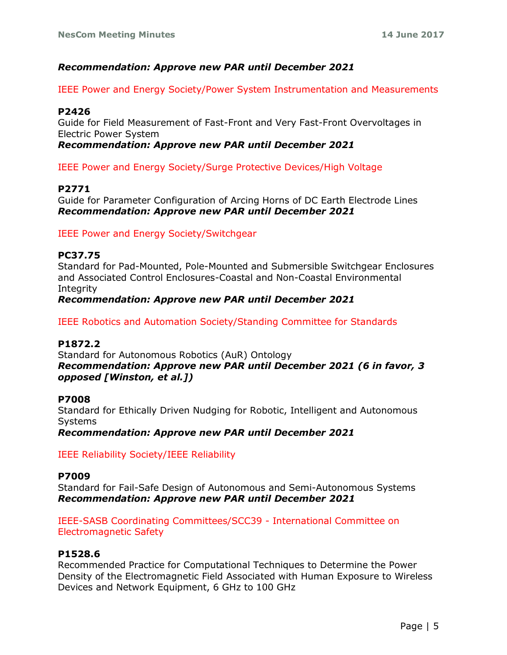## *Recommendation: Approve new PAR until December 2021*

IEEE Power and Energy Society/Power System Instrumentation and Measurements

### **P2426**

Guide for Field Measurement of Fast-Front and Very Fast-Front Overvoltages in Electric Power System

*Recommendation: Approve new PAR until December 2021*

IEEE Power and Energy Society/Surge Protective Devices/High Voltage

### **P2771**

Guide for Parameter Configuration of Arcing Horns of DC Earth Electrode Lines *Recommendation: Approve new PAR until December 2021*

IEEE Power and Energy Society/Switchgear

### **PC37.75**

Standard for Pad-Mounted, Pole-Mounted and Submersible Switchgear Enclosures and Associated Control Enclosures-Coastal and Non-Coastal Environmental **Integrity** 

*Recommendation: Approve new PAR until December 2021*

IEEE Robotics and Automation Society/Standing Committee for Standards

### **P1872.2**

Standard for Autonomous Robotics (AuR) Ontology *Recommendation: Approve new PAR until December 2021 (6 in favor, 3 opposed [Winston, et al.])*

#### **P7008**

Standard for Ethically Driven Nudging for Robotic, Intelligent and Autonomous Systems

*Recommendation: Approve new PAR until December 2021*

IEEE Reliability Society/IEEE Reliability

#### **P7009**

Standard for Fail-Safe Design of Autonomous and Semi-Autonomous Systems *Recommendation: Approve new PAR until December 2021*

IEEE-SASB Coordinating Committees/SCC39 - International Committee on Electromagnetic Safety

#### **P1528.6**

Recommended Practice for Computational Techniques to Determine the Power Density of the Electromagnetic Field Associated with Human Exposure to Wireless Devices and Network Equipment, 6 GHz to 100 GHz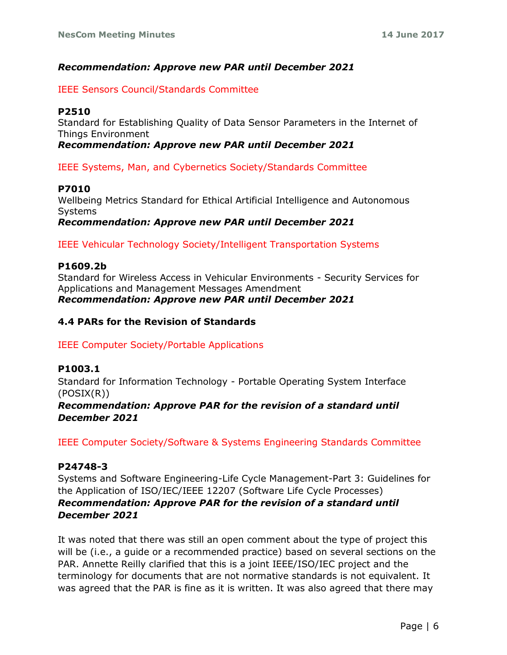## *Recommendation: Approve new PAR until December 2021*

IEEE Sensors Council/Standards Committee

### **P2510**

Standard for Establishing Quality of Data Sensor Parameters in the Internet of Things Environment

*Recommendation: Approve new PAR until December 2021*

IEEE Systems, Man, and Cybernetics Society/Standards Committee

### **P7010**

Wellbeing Metrics Standard for Ethical Artificial Intelligence and Autonomous Systems *Recommendation: Approve new PAR until December 2021*

IEEE Vehicular Technology Society/Intelligent Transportation Systems

## **P1609.2b**

Standard for Wireless Access in Vehicular Environments - Security Services for Applications and Management Messages Amendment *Recommendation: Approve new PAR until December 2021*

## **4.4 PARs for the Revision of Standards**

IEEE Computer Society/Portable Applications

### **P1003.1**

Standard for Information Technology - Portable Operating System Interface (POSIX(R))

## *Recommendation: Approve PAR for the revision of a standard until December 2021*

IEEE Computer Society/Software & Systems Engineering Standards Committee

### **P24748-3**

Systems and Software Engineering-Life Cycle Management-Part 3: Guidelines for the Application of ISO/IEC/IEEE 12207 (Software Life Cycle Processes) *Recommendation: Approve PAR for the revision of a standard until December 2021*

It was noted that there was still an open comment about the type of project this will be (i.e., a guide or a recommended practice) based on several sections on the PAR. Annette Reilly clarified that this is a joint IEEE/ISO/IEC project and the terminology for documents that are not normative standards is not equivalent. It was agreed that the PAR is fine as it is written. It was also agreed that there may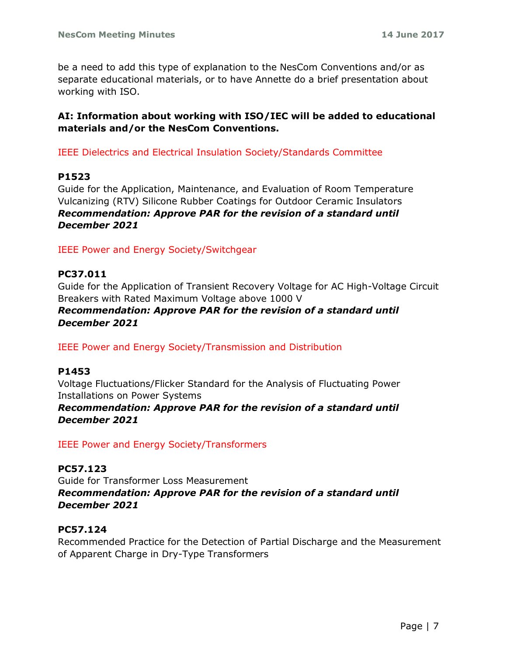be a need to add this type of explanation to the NesCom Conventions and/or as separate educational materials, or to have Annette do a brief presentation about working with ISO.

## **AI: Information about working with ISO/IEC will be added to educational materials and/or the NesCom Conventions.**

IEEE Dielectrics and Electrical Insulation Society/Standards Committee

## **P1523**

Guide for the Application, Maintenance, and Evaluation of Room Temperature Vulcanizing (RTV) Silicone Rubber Coatings for Outdoor Ceramic Insulators *Recommendation: Approve PAR for the revision of a standard until December 2021*

IEEE Power and Energy Society/Switchgear

## **PC37.011**

Guide for the Application of Transient Recovery Voltage for AC High-Voltage Circuit Breakers with Rated Maximum Voltage above 1000 V

## *Recommendation: Approve PAR for the revision of a standard until December 2021*

IEEE Power and Energy Society/Transmission and Distribution

### **P1453**

Voltage Fluctuations/Flicker Standard for the Analysis of Fluctuating Power Installations on Power Systems

## *Recommendation: Approve PAR for the revision of a standard until December 2021*

IEEE Power and Energy Society/Transformers

**PC57.123** Guide for Transformer Loss Measurement *Recommendation: Approve PAR for the revision of a standard until December 2021*

## **PC57.124**

Recommended Practice for the Detection of Partial Discharge and the Measurement of Apparent Charge in Dry-Type Transformers